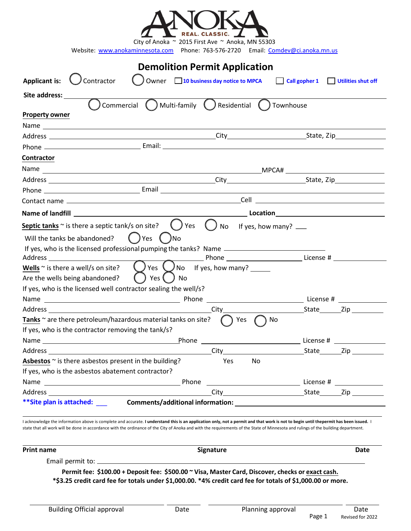| <b>Applicant is:</b><br>Contractor                                                                   | <b>Demolition Permit Application</b>                  |                                                                                        |
|------------------------------------------------------------------------------------------------------|-------------------------------------------------------|----------------------------------------------------------------------------------------|
|                                                                                                      |                                                       |                                                                                        |
|                                                                                                      | Owner 10 business day notice to MPCA                  | Call gopher 1 Utilities shut off                                                       |
| Site address:                                                                                        |                                                       |                                                                                        |
| $\big)$ Commercial $\bigcap$ Multi-family $\bigcap$ Residential $\bigcap$ Townhouse                  |                                                       |                                                                                        |
| <b>Property owner</b>                                                                                |                                                       |                                                                                        |
|                                                                                                      |                                                       |                                                                                        |
|                                                                                                      |                                                       |                                                                                        |
|                                                                                                      |                                                       |                                                                                        |
| Contractor                                                                                           |                                                       |                                                                                        |
|                                                                                                      |                                                       |                                                                                        |
|                                                                                                      |                                                       |                                                                                        |
|                                                                                                      |                                                       |                                                                                        |
|                                                                                                      |                                                       |                                                                                        |
|                                                                                                      |                                                       |                                                                                        |
| <b>Septic tanks</b> $\sim$ is there a septic tank/s on site? $\cup$ Yes $\cup$ No If yes, how many?  |                                                       |                                                                                        |
| Will the tanks be abandoned?<br>( )Yes ( )No                                                         |                                                       |                                                                                        |
| If yes, who is the licensed professional pumping the tanks? Name ___________________________________ |                                                       |                                                                                        |
|                                                                                                      |                                                       | <b>Marshall</b> Phone _________________________________License # _____________________ |
| Wells $\sim$ is there a well/s on site?                                                              | $\bigcirc$ Yes $\bigcirc$ No If yes, how many? ______ |                                                                                        |
| $()$ Yes $()$<br>Are the wells being abandoned?<br>J No                                              |                                                       |                                                                                        |
| If yes, who is the licensed well contractor sealing the well/s?                                      |                                                       |                                                                                        |
|                                                                                                      |                                                       |                                                                                        |
|                                                                                                      |                                                       |                                                                                        |
| Tanks ~ are there petroleum/hazardous material tanks on site?                                        | $\bigcap$ Yes<br>$( )$ No                             |                                                                                        |
| If yes, who is the contractor removing the tank/s?                                                   |                                                       |                                                                                        |
|                                                                                                      |                                                       |                                                                                        |
|                                                                                                      |                                                       |                                                                                        |
| <b>Asbestos</b> $\sim$ is there asbestos present in the building?                                    | Yes No                                                |                                                                                        |
|                                                                                                      |                                                       |                                                                                        |
|                                                                                                      |                                                       |                                                                                        |
| If yes, who is the asbestos abatement contractor?                                                    |                                                       |                                                                                        |

I acknowledge the information above is complete and accurate. **I understand this is an application only, not a permit and that work is not to begin until thepermit has been issued. I** state that all work will be done in accordance with the ordinance of the City of Anoka and with the requirements of the State of Minnesota and rulings of the building department.

| <b>Print name</b>             | <b>Signature</b>                                                                                           | Date |
|-------------------------------|------------------------------------------------------------------------------------------------------------|------|
| Email permit to: ____________ |                                                                                                            |      |
|                               | Permit fee: \$100.00 + Deposit fee: \$500.00 ~ Visa, Master Card, Discover, checks or exact cash.          |      |
|                               | *\$3.25 credit card fee for totals under \$1,000.00. *4% credit card fee for totals of \$1,000.00 or more. |      |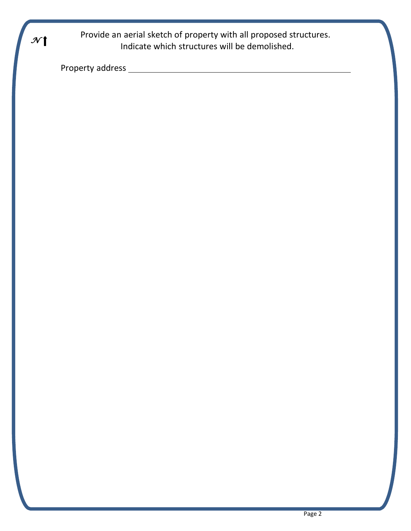Provide an aerial sketch of property with all proposed structures.<br>Indicate which structures will be demolished Indicate which structures will be demolished.

Property address